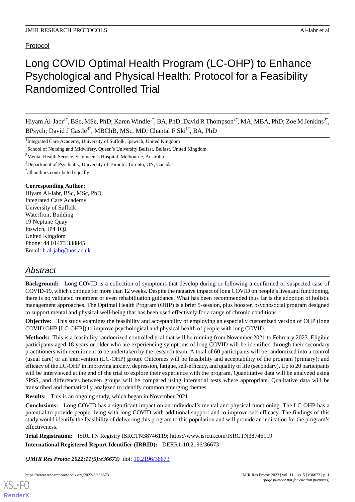Protocol

# Long COVID Optimal Health Program (LC-OHP) to Enhance Psychological and Physical Health: Protocol for a Feasibility Randomized Controlled Trial

Hiyam Al-Jabr<sup>1\*</sup>, BSc, MSc, PhD; Karen Windle<sup>1\*</sup>, BA, PhD; David R Thompson<sup>2\*</sup>, MA, MBA, PhD; Zoe M Jenkins<sup>3\*</sup>, BPsych; David J Castle<sup>4\*</sup>, MBChB, MSc, MD; Chantal F Ski<sup>1\*</sup>, BA, PhD

<sup>1</sup>Integrated Care Academy, University of Suffolk, Ipswich, United Kingdom

 $2$ School of Nursing and Midwifery, Queen's University Belfast, Belfast, United Kingdom

<sup>3</sup>Mental Health Service, St Vincent's Hospital, Melbourne, Australia

<sup>4</sup>Department of Psychiatry, University of Toronto, Toronto, ON, Canada

\* all authors contributed equally

#### **Corresponding Author:**

Hiyam Al-Jabr, BSc, MSc, PhD Integrated Care Academy University of Suffolk Waterfront Building 19 Neptune Quay Ipswich, IP4 1QJ United Kingdom Phone: 44 01473 338845 Email: [h.al-jabr@uos.ac.uk](mailto:h.al-jabr@uos.ac.uk)

# *Abstract*

**Background:** Long COVID is a collection of symptoms that develop during or following a confirmed or suspected case of COVID-19, which continue for more than 12 weeks. Despite the negative impact of long COVID on people's lives and functioning, there is no validated treatment or even rehabilitation guidance. What has been recommended thus far is the adoption of holistic management approaches. The Optimal Health Program (OHP) is a brief 5-session, plus booster, psychosocial program designed to support mental and physical well-being that has been used effectively for a range of chronic conditions.

**Objective:** This study examines the feasibility and acceptability of employing an especially customized version of OHP (long COVID OHP [LC-OHP]) to improve psychological and physical health of people with long COVID.

**Methods:** This is a feasibility randomized controlled trial that will be running from November 2021 to February 2023. Eligible participants aged 18 years or older who are experiencing symptoms of long COVID will be identified through their secondary practitioners with recruitment to be undertaken by the research team. A total of 60 participants will be randomized into a control (usual care) or an intervention (LC-OHP) group. Outcomes will be feasibility and acceptability of the program (primary); and efficacy of the LC-OHP in improving anxiety, depression, fatigue, self-efficacy, and quality of life (secondary). Up to 20 participants will be interviewed at the end of the trial to explore their experience with the program. Quantitative data will be analyzed using SPSS, and differences between groups will be compared using inferential tests where appropriate. Qualitative data will be transcribed and thematically analyzed to identify common emerging themes.

**Results:** This is an ongoing study, which began in November 2021.

**Conclusions:** Long COVID has a significant impact on an individual's mental and physical functioning. The LC-OHP has a potential to provide people living with long COVID with additional support and to improve self-efficacy. The findings of this study would identify the feasibility of delivering this program to this population and will provide an indication for the program's effectiveness.

**Trial Registration:** ISRCTN Registry ISRCTN38746119; https://www.isrctn.com/ISRCTN38746119

**International Registered Report Identifier (IRRID):** DERR1-10.2196/36673

*(JMIR Res Protoc 2022;11(5):e36673)* doi: [10.2196/36673](http://dx.doi.org/10.2196/36673)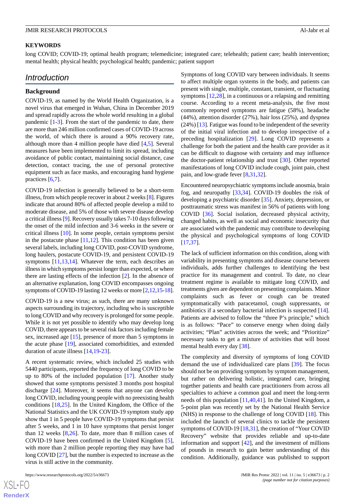#### **KEYWORDS**

long COVID; COVID-19; optimal health program; telemedicine; integrated care; telehealth; patient care; health intervention; mental health; physical health; psychological health; pandemic; patient support

# *Introduction*

#### **Background**

COVID-19, as named by the World Health Organization, is a novel virus that emerged in Wuhan, China in December 2019 and spread rapidly across the whole world resulting in a global pandemic [[1-](#page-7-0)[3](#page-7-1)]. From the start of the pandemic to date, there are more than 246 million confirmed cases of COVID-19 across the world, of which there is around a 90% recovery rate, although more than 4 million people have died [\[4,](#page-7-2)[5](#page-7-3)]. Several measures have been implemented to limit its spread, including avoidance of public contact, maintaining social distance, case detection, contact tracing, the use of personal protective equipment such as face masks, and encouraging hand hygiene practices [[6](#page-7-4)[,7](#page-7-5)].

COVID-19 infection is generally believed to be a short-term illness, from which people recover in about 2 weeks [\[8](#page-7-6)]. Figures indicate that around 80% of affected people develop a mild to moderate disease, and 5% of those with severe disease develop a critical illness [[9\]](#page-7-7). Recovery usually takes 7-10 days following the onset of the mild infection and 3-6 weeks in the severe or critical illness [\[10](#page-7-8)]. In some people, certain symptoms persist in the postacute phase  $[11,12]$  $[11,12]$  $[11,12]$ . This condition has been given several labels, including long COVID, post-COVID syndrome, long haulers, postacute COVID-19, and persistent COVID-19 symptoms [[11](#page-8-0)[,13](#page-8-2),[14\]](#page-8-3). Whatever the term, each describes an illness in which symptoms persist longer than expected, or where there are lasting effects of the infection [\[2](#page-7-9)]. In the absence of an alternative explanation, long COVID encompasses ongoing symptoms of COVID-19 lasting 12 weeks or more [\[2](#page-7-9),[12](#page-8-1),[15-](#page-8-4)[18\]](#page-8-5).

COVID-19 is a new virus; as such, there are many unknown aspects surrounding its trajectory, including who is susceptible to long COVID and why recovery is prolonged for some people. While it is not yet possible to identify who may develop long COVID, there appears to be several risk factors including female sex, increased age [[15\]](#page-8-4), presence of more than 5 symptoms in the acute phase [[19\]](#page-8-6), associated comorbidities, and extended duration of acute illness [\[14](#page-8-3),[19-](#page-8-6)[23](#page-8-7)].

A recent systematic review, which included 25 studies with 5440 participants, reported the frequency of long COVID to be up to 80% of the included population [\[17](#page-8-8)]. Another study showed that some symptoms persisted 3 months post hospital discharge [[24\]](#page-8-9). Moreover, it seems that anyone can develop long COVID, including young people with no preexisting health conditions [[18](#page-8-5)[,25](#page-8-10)]. In the United Kingdom, the Office of the National Statistics and the UK COVID-19 symptom study app show that 1 in 5 people have COVID-19 symptoms that persist after 5 weeks, and 1 in 10 have symptoms that persist longer than 12 weeks [[8](#page-7-6)[,26](#page-8-11)]. To date, more than 8 million cases of COVID-19 have been confirmed in the United Kingdom [[5\]](#page-7-3), with more than 2 million people reporting they may have had long COVID [[27\]](#page-8-12), but the number is expected to increase as the virus is still active in the community.

Symptoms of long COVID vary between individuals. It seems to affect multiple organ systems in the body, and patients can present with single, multiple, constant, transient, or fluctuating symptoms [\[12](#page-8-1),[28\]](#page-8-13), in a continuous or a relapsing and remitting course. According to a recent meta-analysis, the five most commonly reported symptoms are fatigue (58%), headache (44%), attention disorder (27%), hair loss (25%), and dyspnea  $(24%)$  [[13\]](#page-8-2). Fatigue was found to be independent of the severity of the initial viral infection and to develop irrespective of a preceding hospitalization [[29\]](#page-8-14). Long COVID represents a challenge for both the patient and the health care provider as it can be difficult to diagnose with certainty and may influence the doctor-patient relationship and trust [\[30](#page-8-15)]. Other reported manifestations of long COVID include cough, joint pain, chest pain, and low-grade fever [[8,](#page-7-6)[31](#page-8-16),[32\]](#page-8-17).

Encountered neuropsychiatric symptoms include anosmia, brain fog, and neuropathy [[33](#page-8-18)[,34](#page-9-0)]. COVID-19 doubles the risk of developing a psychiatric disorder [[35\]](#page-9-1). Anxiety, depression, or posttraumatic stress was manifest in 56% of patients with long COVID [[36\]](#page-9-2). Social isolation, decreased physical activity, changed habits, as well as social and economic insecurity that are associated with the pandemic may contribute to developing the physical and psychological symptoms of long COVID [[17,](#page-8-8)[37\]](#page-9-3).

The lack of sufficient information on this condition, along with variability in presenting symptoms and disease course between individuals, adds further challenges to identifying the best practice for its management and control. To date, no clear treatment regime is available to mitigate long COVID, and treatments given are dependent on presenting complaints. Minor complaints such as fever or cough can be treated symptomatically with paracetamol, cough suppressants, or antibiotics if a secondary bacterial infection is suspected [[14\]](#page-8-3). Patients are advised to follow the "three P's principle," which is as follows: "Pace" to conserve energy when doing daily activities; "Plan" activities across the week; and "Prioritize" necessary tasks to get a mixture of activities that will boost mental health every day [[38\]](#page-9-4).

The complexity and diversity of symptoms of long COVID demand the use of individualized care plans [\[39](#page-9-5)]. The focus should not be on providing symptom by symptom management, but rather on delivering holistic, integrated care, bringing together patients and health care practitioners from across all specialties to achieve a common goal and meet the long-term needs of this population [\[11](#page-8-0)[,40](#page-9-6)[,41](#page-9-7)]. In the United Kingdom, a 5-point plan was recently set by the National Health Service (NHS) in response to the challenge of long COVID [\[18](#page-8-5)]. This included the launch of several clinics to tackle the persistent symptoms of COVID-19 [[18](#page-8-5)[,31](#page-8-16)], the creation of "Your COVID Recovery" website that provides reliable and up-to-date information and support [[42\]](#page-9-8), and the investment of millions of pounds in research to gain better understanding of this condition. Additionally, guidance was published to support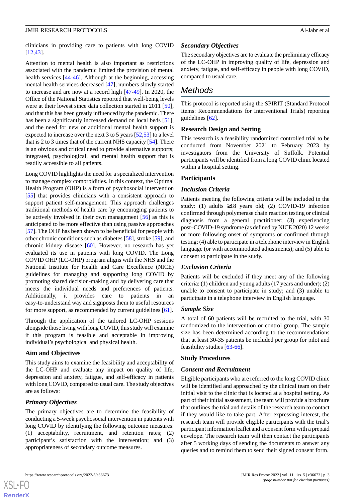clinicians in providing care to patients with long COVID [[12](#page-8-1)[,43](#page-9-9)].

Attention to mental health is also important as restrictions associated with the pandemic limited the provision of mental health services [[44-](#page-9-10)[46](#page-9-11)]. Although at the beginning, accessing mental health services decreased [\[47](#page-9-12)], numbers slowly started to increase and are now at a record high [[47-](#page-9-12)[49](#page-9-13)]. In 2020, the Office of the National Statistics reported that well-being levels were at their lowest since data collection started in 2011 [[50\]](#page-9-14), and that this has been greatly influenced by the pandemic. There has been a significantly increased demand on local beds [[51\]](#page-9-15), and the need for new or additional mental health support is expected to increase over the next 3 to 5 years [\[52](#page-9-16),[53\]](#page-9-17) to a level that is 2 to 3 times that of the current NHS capacity [\[54](#page-9-18)]. There is an obvious and critical need to provide alternative supports; integrated, psychological, and mental health support that is readily accessible to all patients.

Long COVID highlights the need for a specialized intervention to manage complex comorbidities. In this context, the Optimal Health Program (OHP) is a form of psychosocial intervention [[55\]](#page-9-19) that provides clinicians with a consistent approach to support patient self-management. This approach challenges traditional methods of health care by encouraging patients to be actively involved in their own management [[56\]](#page-10-0) as this is anticipated to be more effective than using passive approaches [[57\]](#page-10-1). The OHP has been shown to be beneficial for people with other chronic conditions such as diabetes [\[58](#page-10-2)], stroke [\[59](#page-10-3)], and chronic kidney disease [[60\]](#page-10-4). However, no research has yet evaluated its use in patients with long COVID. The Long COVID OHP (LC-OHP) program aligns with the NHS and the National Institute for Health and Care Excellence (NICE) guidelines for managing and supporting long COVID by promoting shared decision-making and by delivering care that meets the individual needs and preferences of patients. Additionally, it provides care to patients in easy-to-understand way and signposts them to useful resources for more support, as recommended by current guidelines [[61\]](#page-10-5).

Through the application of the tailored LC-OHP sessions alongside those living with long COVID, this study will examine if this program is feasible and acceptable in improving individual's psychological and physical health.

#### **Aim and Objectives**

This study aims to examine the feasibility and acceptability of the LC-OHP and evaluate any impact on quality of life, depression and anxiety, fatigue, and self-efficacy in patients with long COVID, compared to usual care. The study objectives are as follows:

#### *Primary Objectives*

[XSL](http://www.w3.org/Style/XSL)•FO **[RenderX](http://www.renderx.com/)**

The primary objectives are to determine the feasibility of conducting a 5-week psychosocial intervention in patients with long COVID by identifying the following outcome measures: (1) acceptability, recruitment, and retention rates; (2) participant's satisfaction with the intervention; and (3) appropriateness of secondary outcome measures.

#### *Secondary Objectives*

The secondary objectives are to evaluate the preliminary efficacy of the LC-OHP in improving quality of life, depression and anxiety, fatigue, and self-efficacy in people with long COVID, compared to usual care.

# *Methods*

This protocol is reported using the SPIRIT (Standard Protocol Items: Recommendations for Interventional Trials) reporting guidelines [[62\]](#page-10-6).

#### **Research Design and Setting**

This research is a feasibility randomized controlled trial to be conducted from November 2021 to February 2023 by investigators from the University of Suffolk. Potential participants will be identified from a long COVID clinic located within a hospital setting.

#### **Participants**

# *Inclusion Criteria*

Patients meeting the following criteria will be included in the study: (1) adults  $\geq 18$  years old: (2) COVID-19 infection confirmed through polymerase chain reaction testing or clinical diagnosis from a general practitioner; (3) experiencing post–COVID-19 syndrome (as defined by NICE 2020) 12 weeks or more following onset of symptoms or confirmed through testing; (4) able to participate in a telephone interview in English language (or with accommodated adjustments); and (5) able to consent to participate in the study.

#### *Exclusion Criteria*

Patients will be excluded if they meet any of the following criteria: (1) children and young adults (17 years and under); (2) unable to consent to participate in study; and (3) unable to participate in a telephone interview in English language.

#### *Sample Size*

A total of 60 patients will be recruited to the trial, with 30 randomized to the intervention or control group. The sample size has been determined according to the recommendations that at least 30-35 patients be included per group for pilot and feasibility studies [[63-](#page-10-7)[66](#page-10-8)].

#### **Study Procedures**

#### *Consent and Recruitment*

Eligible participants who are referred to the long COVID clinic will be identified and approached by the clinical team on their initial visit to the clinic that is located at a hospital setting. As part of their initial assessment, the team will provide a brochure that outlines the trial and details of the research team to contact if they would like to take part. After expressing interest, the research team will provide eligible participants with the trial's participant information leaflet and a consent form with a prepaid envelope. The research team will then contact the participants after 5 working days of sending the documents to answer any queries and to remind them to send their signed consent form.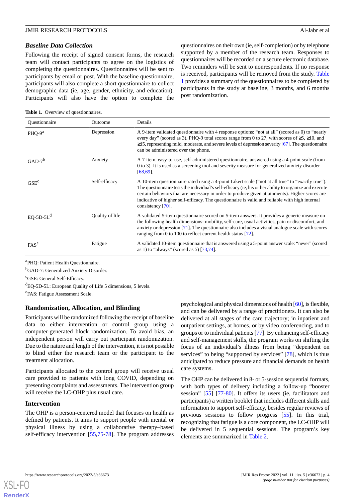#### *Baseline Data Collection*

Following the receipt of signed consent forms, the research team will contact participants to agree on the logistics of completing the questionnaires. Questionnaires will be sent to participants by email or post. With the baseline questionnaire, participants will also complete a short questionnaire to collect demographic data (ie, age, gender, ethnicity, and education). Participants will also have the option to complete the questionnaires on their own (ie, self-completion) or by telephone supported by a member of the research team. Responses to questionnaires will be recorded on a secure electronic database. Two reminders will be sent to nonrespondents. If no response is received, participants will be removed from the study. [Table](#page-3-0) [1](#page-3-0) provides a summary of the questionnaires to be completed by participants in the study at baseline, 3 months, and 6 months post randomization.

<span id="page-3-0"></span>Table 1. Overview of questionnaires.

| <b>Ouestionnaire</b> | Outcome         | Details                                                                                                                                                                                                                                                                                                                                                                                                                                 |
|----------------------|-----------------|-----------------------------------------------------------------------------------------------------------------------------------------------------------------------------------------------------------------------------------------------------------------------------------------------------------------------------------------------------------------------------------------------------------------------------------------|
| $PHQ-9a$             | Depression      | A 9-item validated questionnaire with 4 response options: "not at all" (scored as 0) to "nearly<br>every day" (scored as 3). PHQ-9 total scores range from 0 to 27, with scores of $\geq 5$ , $\geq 10$ , and<br>$\geq$ 15, representing mild, moderate, and severe levels of depression severity [67]. The questionnaire<br>can be administered over the phone.                                                                        |
| $GAD-7b$             | Anxiety         | A 7-item, easy-to-use, self-administered questionnaire, answered using a 4-point scale (from<br>0 to 3). It is used as a screening tool and severity measure for generalized anxiety disorder<br>$[68, 69]$ .                                                                                                                                                                                                                           |
| GSE <sup>c</sup>     | Self-efficacy   | A 10-item questionnaire rated using a 4-point Likert scale ("not at all true" to "exactly true").<br>The questionnaire tests the individual's self-efficacy (ie, his or her ability to organize and execute<br>certain behaviors that are necessary in order to produce given attainments). Higher scores are<br>indicative of higher self-efficacy. The questionnaire is valid and reliable with high internal<br>consistency $[70]$ . |
| $EQ-5D-5Ld$          | Quality of life | A validated 5-item questionnaire scored on 5-item answers. It provides a generic measure on<br>the following health dimensions: mobility, self-care, usual activities, pain or discomfort, and<br>anxiety or depression $[71]$ . The questionnaire also includes a visual analogue scale with scores<br>ranging from 0 to 100 to reflect current health status $[72]$ .                                                                 |
| FAS <sup>e</sup>     | Fatigue         | A validated 10-item questionnaire that is answered using a 5-point answer scale: "never" (scored<br>as 1) to "always" (scored as 5) $[73,74]$ .                                                                                                                                                                                                                                                                                         |

<sup>a</sup>PHQ: Patient Health Questionnaire.

<sup>b</sup>GAD-7: Generalized Anxiety Disorder.

<sup>c</sup>GSE: General Self-Efficacy.

<sup>d</sup>EQ-5D-5L: European Quality of Life 5 dimensions, 5 levels.

<sup>e</sup>FAS: Fatigue Assessment Scale.

# **Randomization, Allocation, and Blinding**

Participants will be randomized following the receipt of baseline data to either intervention or control group using a computer-generated block randomization. To avoid bias, an independent person will carry out participant randomization. Due to the nature and length of the intervention, it is not possible to blind either the research team or the participant to the treatment allocation.

Participants allocated to the control group will receive usual care provided to patients with long COVID, depending on presenting complaints and assessments. The intervention group will receive the LC-OHP plus usual care.

# **Intervention**

The OHP is a person-centered model that focuses on health as defined by patients. It aims to support people with mental or physical illness by using a collaborative therapy–based self-efficacy intervention [[55](#page-9-19)[,75](#page-10-17)-[78\]](#page-10-18). The program addresses psychological and physical dimensions of health [\[60\]](#page-10-4), is flexible, and can be delivered by a range of practitioners. It can also be delivered at all stages of the care trajectory; in inpatient and outpatient settings, at homes, or by video conferencing, and to groups or to individual patients [\[77](#page-10-19)]. By enhancing self-efficacy and self-management skills, the program works on shifting the focus of an individual's illness from being "dependent on services" to being "supported by services" [[78\]](#page-10-18), which is thus anticipated to reduce pressure and financial demands on health care systems.

The OHP can be delivered in 8- or 5-session sequential formats, with both types of delivery including a follow-up "booster session" [\[55](#page-9-19)] [\[77](#page-10-19)-[80\]](#page-11-0). It offers its users (ie, facilitators and participants) a written booklet that includes different skills and information to support self-efficacy, besides regular reviews of previous sessions to follow progress [\[55](#page-9-19)]. In this trial, recognizing that fatigue is a core component, the LC-OHP will be delivered in 5 sequential sessions. The program's key elements are summarized in [Table 2.](#page-4-0)

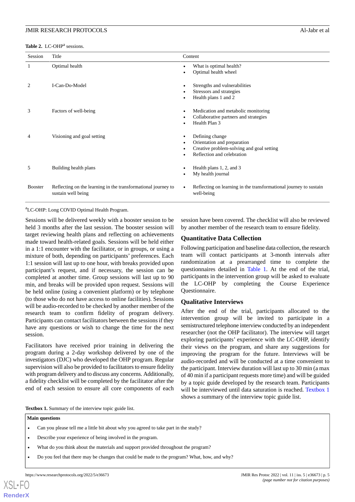<span id="page-4-0"></span>Table 2. LC-OHP<sup>a</sup> sessions.

| Session        | Title                                                                               | Content                                                                                                                                     |
|----------------|-------------------------------------------------------------------------------------|---------------------------------------------------------------------------------------------------------------------------------------------|
| 1              | Optimal health                                                                      | What is optimal health?<br>٠<br>Optimal health wheel                                                                                        |
| 2              | I-Can-Do-Model                                                                      | Strengths and vulnerabilities<br>٠<br>Stressors and strategies<br>Health plans 1 and 2<br>٠                                                 |
| 3              | Factors of well-being                                                               | Medication and metabolic monitoring<br>$\bullet$<br>Collaborative partners and strategies<br>Health Plan 3                                  |
| 4              | Visioning and goal setting                                                          | Defining change<br>$\bullet$<br>Orientation and preparation<br>٠<br>Creative problem-solving and goal setting<br>Reflection and celebration |
| 5              | Building health plans                                                               | Health plans 1, 2, and 3<br>C<br>My health journal                                                                                          |
| <b>Booster</b> | Reflecting on the learning in the transformational journey to<br>sustain well being | Reflecting on learning in the transformational journey to sustain<br>$\bullet$<br>well-being                                                |

<sup>a</sup>LC-OHP: Long COVID Optimal Health Program.

Sessions will be delivered weekly with a booster session to be held 3 months after the last session. The booster session will target reviewing health plans and reflecting on achievements made toward health-related goals. Sessions will be held either in a 1:1 encounter with the facilitator, or in groups, or using a mixture of both, depending on participants' preferences. Each 1:1 session will last up to one hour, with breaks provided upon participant's request, and if necessary, the session can be completed at another time. Group sessions will last up to 90 min, and breaks will be provided upon request. Sessions will be held online (using a convenient platform) or by telephone (to those who do not have access to online facilities). Sessions will be audio-recorded to be checked by another member of the research team to confirm fidelity of program delivery. Participants can contact facilitators between the sessions if they have any questions or wish to change the time for the next session.

<span id="page-4-1"></span>Facilitators have received prior training in delivering the program during a 2-day workshop delivered by one of the investigators (DJC) who developed the OHP program. Regular supervision will also be provided to facilitators to ensure fidelity with program delivery and to discuss any concerns. Additionally, a fidelity checklist will be completed by the facilitator after the end of each session to ensure all core components of each

session have been covered. The checklist will also be reviewed by another member of the research team to ensure fidelity.

#### **Quantitative Data Collection**

Following participation and baseline data collection, the research team will contact participants at 3-month intervals after randomization at a prearranged time to complete the questionnaires detailed in [Table 1](#page-3-0). At the end of the trial, participants in the intervention group will be asked to evaluate the LC-OHP by completing the Course Experience Questionnaire.

#### **Qualitative Interviews**

After the end of the trial, participants allocated to the intervention group will be invited to participate in a semistructured telephone interview conducted by an independent researcher (not the OHP facilitator). The interview will target exploring participants' experience with the LC-OHP, identify their views on the program, and share any suggestions for improving the program for the future. Interviews will be audio-recorded and will be conducted at a time convenient to the participant. Interview duration will last up to 30 min (a max of 40 min if a participant requests more time) and will be guided by a topic guide developed by the research team. Participants will be interviewed until data saturation is reached. [Textbox 1](#page-4-1) shows a summary of the interview topic guide list.

**Textbox 1.** Summary of the interview topic guide list.

#### **Main questions**

- Can you please tell me a little bit about why you agreed to take part in the study?
- Describe your experience of being involved in the program.
- What do you think about the materials and support provided throughout the program?
- Do you feel that there may be changes that could be made to the program? What, how, and why?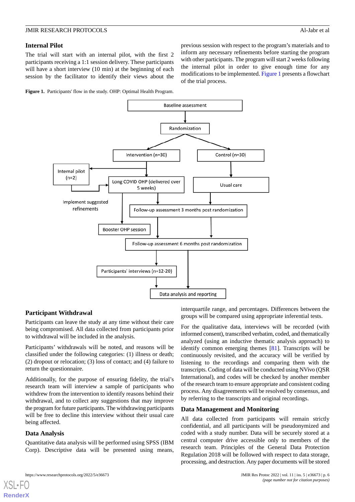# **Internal Pilot**

The trial will start with an internal pilot, with the first 2 participants receiving a 1:1 session delivery. These participants will have a short interview (10 min) at the beginning of each session by the facilitator to identify their views about the

<span id="page-5-0"></span>**Figure 1.** Participants' flow in the study. OHP: Optimal Health Program.



# **Participant Withdrawal**

Participants can leave the study at any time without their care being compromised. All data collected from participants prior to withdrawal will be included in the analysis.

Participants' withdrawals will be noted, and reasons will be classified under the following categories: (1) illness or death; (2) dropout or relocation; (3) loss of contact; and (4) failure to return the questionnaire.

Additionally, for the purpose of ensuring fidelity, the trial's research team will interview a sample of participants who withdrew from the intervention to identify reasons behind their withdrawal, and to collect any suggestions that may improve the program for future participants. The withdrawing participants will be free to decline this interview without their usual care being affected.

# **Data Analysis**

[XSL](http://www.w3.org/Style/XSL)•FO **[RenderX](http://www.renderx.com/)**

Quantitative data analysis will be performed using SPSS (IBM Corp). Descriptive data will be presented using means,

interquartile range, and percentages. Differences between the groups will be compared using appropriate inferential tests.

previous session with respect to the program's materials and to inform any necessary refinements before starting the program with other participants. The program will start 2 weeks following the internal pilot in order to give enough time for any modifications to be implemented. [Figure 1](#page-5-0) presents a flowchart

of the trial process.

For the qualitative data, interviews will be recorded (with informed consent), transcribed verbatim, coded, and thematically analyzed (using an inductive thematic analysis approach) to identify common emerging themes [\[81](#page-11-1)]. Transcripts will be continuously revisited, and the accuracy will be verified by listening to the recordings and comparing them with the transcripts. Coding of data will be conducted using NVivo (QSR International), and codes will be checked by another member of the research team to ensure appropriate and consistent coding process. Any disagreements will be resolved by consensus, and by referring to the transcripts and original recordings.

#### **Data Management and Monitoring**

All data collected from participants will remain strictly confidential, and all participants will be pseudonymized and coded with a study number. Data will be securely stored at a central computer drive accessible only to members of the research team. Principles of the General Data Protection Regulation 2018 will be followed with respect to data storage, processing, and destruction. Any paper documents will be stored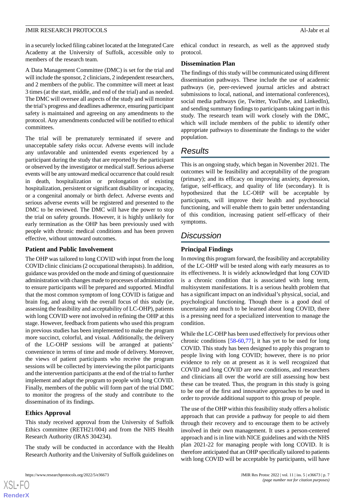in a securely locked filing cabinet located at the Integrated Care Academy at the University of Suffolk, accessible only to members of the research team.

A Data Management Committee (DMC) is set for the trial and will include the sponsor, 2 clinicians, 2 independent researchers, and 2 members of the public. The committee will meet at least 3 times (at the start, middle, and end of the trial) and as needed. The DMC will oversee all aspects of the study and will monitor the trial's progress and deadlines adherence, ensuring participant safety is maintained and agreeing on any amendments to the protocol. Any amendments conducted will be notified to ethical committees.

The trial will be prematurely terminated if severe and unacceptable safety risks occur. Adverse events will include any unfavorable and unintended events experienced by a participant during the study that are reported by the participant or observed by the investigator or medical staff. Serious adverse events will be any untoward medical occurrence that could result in death, hospitalization or prolongation of existing hospitalization, persistent or significant disability or incapacity, or a congenital anomaly or birth defect. Adverse events and serious adverse events will be registered and presented to the DMC to be reviewed. The DMC will have the power to stop the trial on safety grounds. However, it is highly unlikely for early termination as the OHP has been previously used with people with chronic medical conditions and has been proven effective, without untoward outcomes.

# **Patient and Public Involvement**

The OHP was tailored to long COVID with input from the long COVID clinic clinicians (2 occupational therapists). In addition, guidance was provided on the mode and timing of questionnaire administration with changes made to processes of administration to ensure participants will be prepared and supported. Mindful that the most common symptom of long COVID is fatigue and brain fog, and along with the overall focus of this study (ie, assessing the feasibility and acceptability of LC-OHP), patients with long COVID were not involved in refining the OHP at this stage. However, feedback from patients who used this program in previous studies has been implemented to make the program more succinct, colorful, and visual. Additionally, the delivery of the LC-OHP sessions will be arranged at patients' convenience in terms of time and mode of delivery. Moreover, the views of patient participants who receive the program sessions will be collected by interviewing the pilot participants and the intervention participants at the end of the trial to further implement and adapt the program to people with long COVID. Finally, members of the public will form part of the trial DMC to monitor the progress of the study and contribute to the dissemination of its findings.

# **Ethics Approval**

This study received approval from the University of Suffolk Ethics committee (RETH21/004) and from the NHS Health Research Authority (IRAS 304234).

The study will be conducted in accordance with the Health Research Authority and the University of Suffolk guidelines on

https://www.researchprotocols.org/2022/5/e36673 JMIR Res Protoc 2022 | vol. 11 | iss. 5 | e36673 | p. 7

ethical conduct in research, as well as the approved study protocol.

#### **Dissemination Plan**

The findings of this study will be communicated using different dissemination pathways. These include the use of academic pathways (ie, peer-reviewed journal articles and abstract submissions to local, national, and international conferences), social media pathways (ie, Twitter, YouTube, and LinkedIn), and sending summary findings to participants taking part in this study. The research team will work closely with the DMC, which will include members of the public to identify other appropriate pathways to disseminate the findings to the wider population.

# *Results*

This is an ongoing study, which began in November 2021. The outcomes will be feasibility and acceptability of the program (primary); and its efficacy on improving anxiety, depression, fatigue, self-efficacy, and quality of life (secondary). It is hypothesized that the LC-OHP will be acceptable by participants, will improve their health and psychosocial functioning, and will enable them to gain better understanding of this condition, increasing patient self-efficacy of their symptoms.

# *Discussion*

# **Principal Findings**

In moving this program forward, the feasibility and acceptability of the LC-OHP will be tested along with early measures as to its effectiveness. It is widely acknowledged that long COVID is a chronic condition that is associated with long term, multisystem manifestations. It is a serious health problem that has a significant impact on an individual's physical, social, and psychological functioning. Though there is a good deal of uncertainty and much to be learned about long COVID, there is a pressing need for a specialized intervention to manage the condition.

While the LC-OHP has been used effectively for previous other chronic conditions  $[58-60,77]$  $[58-60,77]$  $[58-60,77]$  $[58-60,77]$  $[58-60,77]$ , it has yet to be used for long COVID. This study has been designed to apply this program to people living with long COVID; however, there is no prior evidence to rely on at present as it is well recognized that COVID and long COVID are new conditions, and researchers and clinicians all over the world are still assessing how best these can be treated. Thus, the program in this study is going to be one of the first and innovative approaches to be used in order to provide additional support to this group of people.

The use of the OHP within this feasibility study offers a holistic approach that can provide a pathway for people to aid them through their recovery and to encourage them to be actively involved in their own management. It uses a person-centered approach and is in line with NICE guidelines and with the NHS plan 2021-22 for managing people with long COVID. It is therefore anticipated that an OHP specifically tailored to patients with long COVID will be acceptable by participants, will have

```
XS • FO
RenderX
```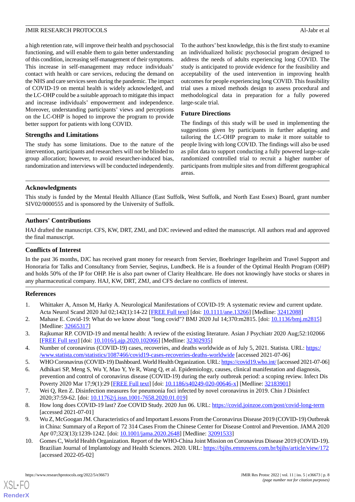a high retention rate, will improve their health and psychosocial functioning, and will enable them to gain better understanding of this condition, increasing self-management of their symptoms. This increase in self-management may reduce individuals' contact with health or care services, reducing the demand on the NHS and care services seen during the pandemic. The impact of COVID-19 on mental health is widely acknowledged, and the LC-OHP could be a suitable approach to mitigate this impact and increase individuals' empowerment and independence. Moreover, understanding participants' views and perceptions on the LC-OHP is hoped to improve the program to provide better support for patients with long COVID.

# **Strengths and Limitations**

The study has some limitations. Due to the nature of the intervention, participants and researchers will not be blinded to group allocation; however, to avoid researcher-induced bias, randomization and interviews will be conducted independently. To the authors'best knowledge, this is the first study to examine an individualized holistic psychosocial program designed to address the needs of adults experiencing long COVID. The study is anticipated to provide evidence for the feasibility and acceptability of the used intervention in improving health outcomes for people experiencing long COVID. This feasibility trial uses a mixed methods design to assess procedural and methodological data in preparation for a fully powered large-scale trial.

#### **Future Directions**

The findings of this study will be used in implementing the suggestions given by participants in further adapting and tailoring the LC-OHP program to make it more suitable to people living with long COVID. The findings will also be used as pilot data to support conducting a fully powered large-scale randomized controlled trial to recruit a higher number of participants from multiple sites and from different geographical areas.

# **Acknowledgments**

This study is funded by the Mental Health Alliance (East Suffolk, West Suffolk, and North East Essex) Board, grant number SIV02/0000555 and is sponsored by the University of Suffolk.

# **Authors' Contributions**

HAJ drafted the manuscript. CFS, KW, DRT, ZMJ, and DJC reviewed and edited the manuscript. All authors read and approved the final manuscript.

#### **Conflicts of Interest**

<span id="page-7-0"></span>In the past 36 months, DJC has received grant money for research from Servier, Boehringer Ingelheim and Travel Support and Honoraria for Talks and Consultancy from Servier, Seqirus, Lundbeck. He is a founder of the Optimal Health Program (OHP) and holds 50% of the IP for OHP. He is also part owner of Clarity Healthcare. He does not knowingly have stocks or shares in any pharmaceutical company. HAJ, KW, DRT, ZMJ, and CFS declare no conflicts of interest.

#### <span id="page-7-9"></span>**References**

- <span id="page-7-1"></span>1. Whittaker A, Anson M, Harky A. Neurological Manifestations of COVID-19: A systematic review and current update. Acta Neurol Scand 2020 Jul 02;142(1):14-22 [\[FREE Full text\]](http://europepmc.org/abstract/MED/32412088) [doi: [10.1111/ane.13266\]](http://dx.doi.org/10.1111/ane.13266) [Medline: [32412088](http://www.ncbi.nlm.nih.gov/entrez/query.fcgi?cmd=Retrieve&db=PubMed&list_uids=32412088&dopt=Abstract)]
- <span id="page-7-3"></span><span id="page-7-2"></span>2. Mahase E. Covid-19: What do we know about "long covid"? BMJ 2020 Jul 14;370:m2815. [doi: [10.1136/bmj.m2815](http://dx.doi.org/10.1136/bmj.m2815)] [Medline: [32665317](http://www.ncbi.nlm.nih.gov/entrez/query.fcgi?cmd=Retrieve&db=PubMed&list_uids=32665317&dopt=Abstract)]
- <span id="page-7-4"></span>3. Rajkumar RP. COVID-19 and mental health: A review of the existing literature. Asian J Psychiatr 2020 Aug;52:102066 [[FREE Full text](http://europepmc.org/abstract/MED/32302935)] [doi: [10.1016/j.ajp.2020.102066](http://dx.doi.org/10.1016/j.ajp.2020.102066)] [Medline: [32302935](http://www.ncbi.nlm.nih.gov/entrez/query.fcgi?cmd=Retrieve&db=PubMed&list_uids=32302935&dopt=Abstract)]
- <span id="page-7-5"></span>4. Number of coronavirus (COVID-19) cases, recoveries, and deaths worldwide as of July 5, 2021. Statista. URL: [https:/](https://www.statista.com/statistics/1087466/covid19-cases-recoveries-deaths-worldwide) [/www.statista.com/statistics/1087466/covid19-cases-recoveries-deaths-worldwide](https://www.statista.com/statistics/1087466/covid19-cases-recoveries-deaths-worldwide) [accessed 2021-07-06]
- 5. WHO Coronavirus (COVID-19) Dashboard. World Health Organization. URL:<https://covid19.who.int/> [accessed 2021-07-06]
- <span id="page-7-7"></span><span id="page-7-6"></span>6. Adhikari SP, Meng S, Wu Y, Mao Y, Ye R, Wang Q, et al. Epidemiology, causes, clinical manifestation and diagnosis, prevention and control of coronavirus disease (COVID-19) during the early outbreak period: a scoping review. Infect Dis Poverty 2020 Mar 17;9(1):29 [[FREE Full text\]](https://idpjournal.biomedcentral.com/articles/10.1186/s40249-020-00646-x) [doi: [10.1186/s40249-020-00646-x](http://dx.doi.org/10.1186/s40249-020-00646-x)] [Medline: [32183901](http://www.ncbi.nlm.nih.gov/entrez/query.fcgi?cmd=Retrieve&db=PubMed&list_uids=32183901&dopt=Abstract)]
- <span id="page-7-8"></span>7. Wei Q, Ren Z. Disinfection measures for pneumonia foci infected by novel coronavirus in 2019. Chin J Disinfect 2020;37:59-62. [doi: [10.11762/j.issn.1001-7658.2020.01.019](http://dx.doi.org/10.11762/j.issn.1001-7658.2020.01.019)]
- 8. How long does COVID-19 last? Zoe COVID Study. 2020 Jun 06. URL: <https://covid.joinzoe.com/post/covid-long-term> [accessed 2021-07-01]
- 9. Wu Z, McGoogan JM. Characteristics of and Important Lessons From the Coronavirus Disease 2019 (COVID-19) Outbreak in China: Summary of a Report of 72 314 Cases From the Chinese Center for Disease Control and Prevention. JAMA 2020 Apr 07;323(13):1239-1242. [doi: [10.1001/jama.2020.2648](http://dx.doi.org/10.1001/jama.2020.2648)] [Medline: [32091533](http://www.ncbi.nlm.nih.gov/entrez/query.fcgi?cmd=Retrieve&db=PubMed&list_uids=32091533&dopt=Abstract)]
- 10. Gomes C, World Health Organization. Report of the WHO-China Joint Mission on Coronavirus Disease 2019 (COVID-19). Brazilian Journal of Implantology and Health Sciences. 2020. URL:<https://bjihs.emnuvens.com.br/bjihs/article/view/172> [accessed 2022-05-02]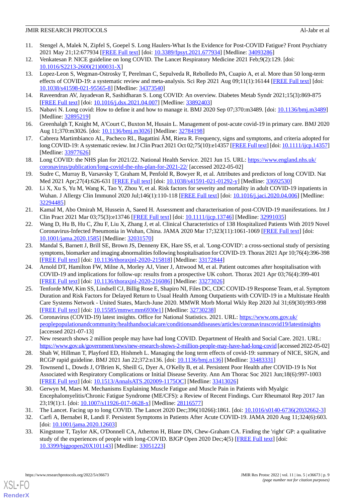- <span id="page-8-0"></span>11. Stengel A, Malek N, Zipfel S, Goepel S. Long Haulers-What Is the Evidence for Post-COVID Fatigue? Front Psychiatry 2021 May 21;12:677934 [\[FREE Full text\]](https://doi.org/10.3389/fpsyt.2021.677934) [doi: [10.3389/fpsyt.2021.677934](http://dx.doi.org/10.3389/fpsyt.2021.677934)] [Medline: [34093286\]](http://www.ncbi.nlm.nih.gov/entrez/query.fcgi?cmd=Retrieve&db=PubMed&list_uids=34093286&dopt=Abstract)
- <span id="page-8-2"></span><span id="page-8-1"></span>12. Venkatesan P. NICE guideline on long COVID. The Lancet Respiratory Medicine 2021 Feb;9(2):129. [doi: [10.1016/S2213-2600\(21\)00031-X\]](http://dx.doi.org/10.1016/S2213-2600(21)00031-X)
- 13. Lopez-Leon S, Wegman-Ostrosky T, Perelman C, Sepulveda R, Rebolledo PA, Cuapio A, et al. More than 50 long-term effects of COVID-19: a systematic review and meta-analysis. Sci Rep 2021 Aug 09;11(1):16144 [[FREE Full text](https://doi.org/10.1038/s41598-021-95565-8)] [doi: [10.1038/s41598-021-95565-8\]](http://dx.doi.org/10.1038/s41598-021-95565-8) [Medline: [34373540\]](http://www.ncbi.nlm.nih.gov/entrez/query.fcgi?cmd=Retrieve&db=PubMed&list_uids=34373540&dopt=Abstract)
- <span id="page-8-4"></span><span id="page-8-3"></span>14. Raveendran AV, Jayadevan R, Sashidharan S. Long COVID: An overview. Diabetes Metab Syndr 2021;15(3):869-875 [[FREE Full text](http://europepmc.org/abstract/MED/33892403)] [doi: [10.1016/j.dsx.2021.04.007](http://dx.doi.org/10.1016/j.dsx.2021.04.007)] [Medline: [33892403](http://www.ncbi.nlm.nih.gov/entrez/query.fcgi?cmd=Retrieve&db=PubMed&list_uids=33892403&dopt=Abstract)]
- 15. Nabavi N. Long covid: How to define it and how to manage it. BMJ 2020 Sep 07;370:m3489. [doi: [10.1136/bmj.m3489\]](http://dx.doi.org/10.1136/bmj.m3489) [Medline: [32895219](http://www.ncbi.nlm.nih.gov/entrez/query.fcgi?cmd=Retrieve&db=PubMed&list_uids=32895219&dopt=Abstract)]
- <span id="page-8-8"></span>16. Greenhalgh T, Knight M, A'Court C, Buxton M, Husain L. Management of post-acute covid-19 in primary care. BMJ 2020 Aug 11;370:m3026. [doi: [10.1136/bmj.m3026](http://dx.doi.org/10.1136/bmj.m3026)] [Medline: [32784198\]](http://www.ncbi.nlm.nih.gov/entrez/query.fcgi?cmd=Retrieve&db=PubMed&list_uids=32784198&dopt=Abstract)
- <span id="page-8-5"></span>17. Cabrera Martimbianco AL, Pacheco RL, Bagattini ÂM, Riera R. Frequency, signs and symptoms, and criteria adopted for long COVID-19: A systematic review. Int J Clin Pract 2021 Oct 02;75(10):e14357 [\[FREE Full text\]](http://europepmc.org/abstract/MED/33977626) [doi: [10.1111/ijcp.14357\]](http://dx.doi.org/10.1111/ijcp.14357) [Medline: [33977626](http://www.ncbi.nlm.nih.gov/entrez/query.fcgi?cmd=Retrieve&db=PubMed&list_uids=33977626&dopt=Abstract)]
- <span id="page-8-6"></span>18. Long COVID: the NHS plan for 2021/22. National Health Service. 2021 Jun 15. URL: [https://www.england.nhs.uk/](https://www.england.nhs.uk/coronavirus/publication/long-covid-the-nhs-plan-for-2021-22/) [coronavirus/publication/long-covid-the-nhs-plan-for-2021-22/](https://www.england.nhs.uk/coronavirus/publication/long-covid-the-nhs-plan-for-2021-22/) [accessed 2022-05-02]
- 19. Sudre C, Murray B, Varsavsky T, Graham M, Penfold R, Bowyer R, et al. Attributes and predictors of long COVID. Nat Med 2021 Apr;27(4):626-631 [[FREE Full text](http://europepmc.org/abstract/MED/33692530)] [doi: [10.1038/s41591-021-01292-y\]](http://dx.doi.org/10.1038/s41591-021-01292-y) [Medline: [33692530](http://www.ncbi.nlm.nih.gov/entrez/query.fcgi?cmd=Retrieve&db=PubMed&list_uids=33692530&dopt=Abstract)]
- 20. Li X, Xu S, Yu M, Wang K, Tao Y, Zhou Y, et al. Risk factors for severity and mortality in adult COVID-19 inpatients in Wuhan. J Allergy Clin Immunol 2020 Jul;146(1):110-118 [[FREE Full text](http://europepmc.org/abstract/MED/32294485)] [doi: [10.1016/j.jaci.2020.04.006\]](http://dx.doi.org/10.1016/j.jaci.2020.04.006) [Medline: [32294485](http://www.ncbi.nlm.nih.gov/entrez/query.fcgi?cmd=Retrieve&db=PubMed&list_uids=32294485&dopt=Abstract)]
- 21. Kamal M, Abo Omirah M, Hussein A, Saeed H. Assessment and characterisation of post-COVID-19 manifestations. Int J Clin Pract 2021 Mar 03;75(3):e13746 [\[FREE Full text\]](http://europepmc.org/abstract/MED/32991035) [doi: [10.1111/ijcp.13746\]](http://dx.doi.org/10.1111/ijcp.13746) [Medline: [32991035\]](http://www.ncbi.nlm.nih.gov/entrez/query.fcgi?cmd=Retrieve&db=PubMed&list_uids=32991035&dopt=Abstract)
- <span id="page-8-7"></span>22. Wang D, Hu B, Hu C, Zhu F, Liu X, Zhang J, et al. Clinical Characteristics of 138 Hospitalized Patients With 2019 Novel Coronavirus-Infected Pneumonia in Wuhan, China. JAMA 2020 Mar 17;323(11):1061-1069 [[FREE Full text\]](http://europepmc.org/abstract/MED/32031570) [doi: [10.1001/jama.2020.1585](http://dx.doi.org/10.1001/jama.2020.1585)] [Medline: [32031570](http://www.ncbi.nlm.nih.gov/entrez/query.fcgi?cmd=Retrieve&db=PubMed&list_uids=32031570&dopt=Abstract)]
- <span id="page-8-9"></span>23. Mandal S, Barnett J, Brill SE, Brown JS, Denneny EK, Hare SS, et al. 'Long-COVID': a cross-sectional study of persisting symptoms, biomarker and imaging abnormalities following hospitalisation for COVID-19. Thorax 2021 Apr 10;76(4):396-398 [[FREE Full text](http://europepmc.org/abstract/MED/33172844)] [doi: [10.1136/thoraxjnl-2020-215818\]](http://dx.doi.org/10.1136/thoraxjnl-2020-215818) [Medline: [33172844](http://www.ncbi.nlm.nih.gov/entrez/query.fcgi?cmd=Retrieve&db=PubMed&list_uids=33172844&dopt=Abstract)]
- <span id="page-8-10"></span>24. Arnold DT, Hamilton FW, Milne A, Morley AJ, Viner J, Attwood M, et al. Patient outcomes after hospitalisation with COVID-19 and implications for follow-up: results from a prospective UK cohort. Thorax 2021 Apr 03;76(4):399-401 [[FREE Full text](http://thorax.bmj.com/lookup/pmidlookup?view=long&pmid=33273026)] [doi: [10.1136/thoraxjnl-2020-216086\]](http://dx.doi.org/10.1136/thoraxjnl-2020-216086) [Medline: [33273026](http://www.ncbi.nlm.nih.gov/entrez/query.fcgi?cmd=Retrieve&db=PubMed&list_uids=33273026&dopt=Abstract)]
- <span id="page-8-11"></span>25. Tenforde MW, Kim SS, Lindsell CJ, Billig Rose E, Shapiro NI, Files DC, CDC COVID-19 Response Team, et al. Symptom Duration and Risk Factors for Delayed Return to Usual Health Among Outpatients with COVID-19 in a Multistate Health Care Systems Network - United States, March-June 2020. MMWR Morb Mortal Wkly Rep 2020 Jul 31;69(30):993-998 [[FREE Full text](https://doi.org/10.15585/mmwr.mm6930e1)] [doi: [10.15585/mmwr.mm6930e1\]](http://dx.doi.org/10.15585/mmwr.mm6930e1) [Medline: [32730238\]](http://www.ncbi.nlm.nih.gov/entrez/query.fcgi?cmd=Retrieve&db=PubMed&list_uids=32730238&dopt=Abstract)
- <span id="page-8-13"></span><span id="page-8-12"></span>26. Coronavirus (COVID-19) latest insights. Office for National Statistics. 2021. URL: [https://www.ons.gov.uk/](https://www.ons.gov.uk/peoplepopulationandcommunity/healthandsocialcare/conditionsanddiseases/articles/coronaviruscovid19/latestinsights) [peoplepopulationandcommunity/healthandsocialcare/conditionsanddiseases/articles/coronaviruscovid19/latestinsights](https://www.ons.gov.uk/peoplepopulationandcommunity/healthandsocialcare/conditionsanddiseases/articles/coronaviruscovid19/latestinsights) [accessed 2021-07-13]
- <span id="page-8-14"></span>27. New research shows 2 million people may have had long COVID. Department of Health and Social Care. 2021. URL: <https://www.gov.uk/government/news/new-research-shows-2-million-people-may-have-had-long-covid> [accessed 2022-05-02]
- <span id="page-8-15"></span>28. Shah W, Hillman T, Playford ED, Hishmeh L. Managing the long term effects of covid-19: summary of NICE, SIGN, and RCGP rapid guideline. BMJ 2021 Jan 22;372:n136. [doi: [10.1136/bmj.n136\]](http://dx.doi.org/10.1136/bmj.n136) [Medline: [33483331\]](http://www.ncbi.nlm.nih.gov/entrez/query.fcgi?cmd=Retrieve&db=PubMed&list_uids=33483331&dopt=Abstract)
- <span id="page-8-17"></span><span id="page-8-16"></span>29. Townsend L, Dowds J, O'Brien K, Sheill G, Dyer A, O'Kelly B, et al. Persistent Poor Health after COVID-19 Is Not Associated with Respiratory Complications or Initial Disease Severity. Ann Am Thorac Soc 2021 Jun;18(6):997-1003 [[FREE Full text](http://europepmc.org/abstract/MED/33413026)] [doi: [10.1513/AnnalsATS.202009-1175OC\]](http://dx.doi.org/10.1513/AnnalsATS.202009-1175OC) [Medline: [33413026](http://www.ncbi.nlm.nih.gov/entrez/query.fcgi?cmd=Retrieve&db=PubMed&list_uids=33413026&dopt=Abstract)]
- <span id="page-8-18"></span>30. Gerwyn M, Maes M. Mechanisms Explaining Muscle Fatigue and Muscle Pain in Patients with Myalgic Encephalomyelitis/Chronic Fatigue Syndrome (ME/CFS): a Review of Recent Findings. Curr Rheumatol Rep 2017 Jan 23;19(1):1. [doi: [10.1007/s11926-017-0628-x](http://dx.doi.org/10.1007/s11926-017-0628-x)] [Medline: [28116577](http://www.ncbi.nlm.nih.gov/entrez/query.fcgi?cmd=Retrieve&db=PubMed&list_uids=28116577&dopt=Abstract)]
- 31. The Lancet. Facing up to long COVID. The Lancet 2020 Dec;396(10266):1861. [doi: [10.1016/s0140-6736\(20\)32662-3](http://dx.doi.org/10.1016/s0140-6736(20)32662-3)]
- 32. Carfì A, Bernabei R, Landi F. Persistent Symptoms in Patients After Acute COVID-19. JAMA 2020 Aug 11;324(6):603. [doi: [10.1001/jama.2020.12603\]](http://dx.doi.org/10.1001/jama.2020.12603)
- 33. Kingstone T, Taylor AK, O'Donnell CA, Atherton H, Blane DN, Chew-Graham CA. Finding the 'right' GP: a qualitative study of the experiences of people with long-COVID. BJGP Open 2020 Dec;4(5) [\[FREE Full text\]](http://bjgpopen.org/cgi/pmidlookup?view=long&pmid=33051223) [doi: [10.3399/bjgpopen20X101143](http://dx.doi.org/10.3399/bjgpopen20X101143)] [Medline: [33051223](http://www.ncbi.nlm.nih.gov/entrez/query.fcgi?cmd=Retrieve&db=PubMed&list_uids=33051223&dopt=Abstract)]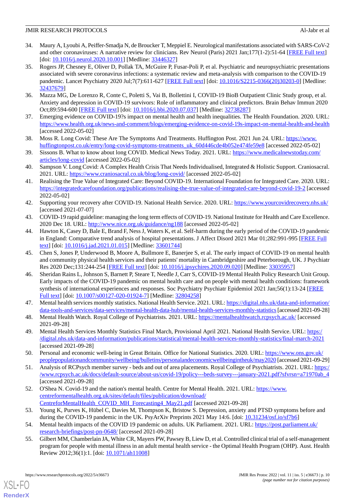- <span id="page-9-0"></span>34. Maury A, Lyoubi A, Peiffer-Smadja N, de Broucker T, Meppiel E. Neurological manifestations associated with SARS-CoV-2 and other coronaviruses: A narrative review for clinicians. Rev Neurol (Paris) 2021 Jan;177(1-2):51-64 [\[FREE Full text\]](http://europepmc.org/abstract/MED/33446327) [doi: [10.1016/j.neurol.2020.10.001](http://dx.doi.org/10.1016/j.neurol.2020.10.001)] [Medline: [33446327](http://www.ncbi.nlm.nih.gov/entrez/query.fcgi?cmd=Retrieve&db=PubMed&list_uids=33446327&dopt=Abstract)]
- <span id="page-9-1"></span>35. Rogers JP, Chesney E, Oliver D, Pollak TA, McGuire P, Fusar-Poli P, et al. Psychiatric and neuropsychiatric presentations associated with severe coronavirus infections: a systematic review and meta-analysis with comparison to the COVID-19 pandemic. Lancet Psychiatry 2020 Jul;7(7):611-627 [\[FREE Full text\]](https://linkinghub.elsevier.com/retrieve/pii/S2215-0366(20)30203-0) [doi: [10.1016/S2215-0366\(20\)30203-0](http://dx.doi.org/10.1016/S2215-0366(20)30203-0)] [Medline: [32437679](http://www.ncbi.nlm.nih.gov/entrez/query.fcgi?cmd=Retrieve&db=PubMed&list_uids=32437679&dopt=Abstract)]
- <span id="page-9-3"></span><span id="page-9-2"></span>36. Mazza MG, De Lorenzo R, Conte C, Poletti S, Vai B, Bollettini I, COVID-19 BioB Outpatient Clinic Study group, et al. Anxiety and depression in COVID-19 survivors: Role of inflammatory and clinical predictors. Brain Behav Immun 2020 Oct;89:594-600 [[FREE Full text](http://europepmc.org/abstract/MED/32738287)] [doi: [10.1016/j.bbi.2020.07.037](http://dx.doi.org/10.1016/j.bbi.2020.07.037)] [Medline: [32738287\]](http://www.ncbi.nlm.nih.gov/entrez/query.fcgi?cmd=Retrieve&db=PubMed&list_uids=32738287&dopt=Abstract)
- <span id="page-9-4"></span>37. Emerging evidence on COVID-19?s impact on mental health and health inequalities. The Health Foundation. 2020. URL: <https://www.health.org.uk/news-and-comment/blogs/emerging-evidence-on-covid-19s-impact-on-mental-health-and-health> [accessed 2022-05-02]
- <span id="page-9-5"></span>38. Moss R. Long Covid: These Are The Symptoms And Treatments. Huffington Post. 2021 Jun 24. URL: [https://www.](https://www.huffingtonpost.co.uk/entry/long-covid-symptoms-treatments_uk_60d446cde4b052e474fe59e8) [huffingtonpost.co.uk/entry/long-covid-symptoms-treatments\\_uk\\_60d446cde4b052e474fe59e8](https://www.huffingtonpost.co.uk/entry/long-covid-symptoms-treatments_uk_60d446cde4b052e474fe59e8) [accessed 2022-05-02]
- <span id="page-9-6"></span>39. Sissons B. What to know about long COVID. Medical News Today. 2021. URL: [https://www.medicalnewstoday.com/](https://www.medicalnewstoday.com/articles/long-covid) [articles/long-covid](https://www.medicalnewstoday.com/articles/long-covid) [accessed 2022-05-02]
- <span id="page-9-7"></span>40. Sampson V. Long Covid: A Complex Health Crisis That Needs Individualised, Integrated & Holistic Support. Craniosacral. 2021. URL: <https://www.craniosacral.co.uk/blog/long-covid/> [accessed 2022-05-02]
- <span id="page-9-8"></span>41. Realising the True Value of Integrated Care: Beyond COVID-19. International Foundation for Integrated Care. 2020. URL: <https://integratedcarefoundation.org/publications/realising-the-true-value-of-integrated-care-beyond-covid-19-2> [accessed 2022-05-02]
- <span id="page-9-10"></span><span id="page-9-9"></span>42. Supporting your recovery after COVID-19. National Health Service. 2020. URL:<https://www.yourcovidrecovery.nhs.uk/> [accessed 2021-07-07]
- 43. COVID-19 rapid guideline: managing the long term effects of COVID-19. National Institute for Health and Care Excellence. 2020 Dec 18. URL: <http://www.nice.org.uk/guidance/ng188> [accessed 2022-05-02]
- 44. Hawton K, Casey D, Bale E, Brand F, Ness J, Waters K, et al. Self-harm during the early period of the COVID-19 pandemic in England: Comparative trend analysis of hospital presentations. J Affect Disord 2021 Mar 01;282:991-995 [[FREE Full](http://europepmc.org/abstract/MED/33601744) [text](http://europepmc.org/abstract/MED/33601744)] [doi: [10.1016/j.jad.2021.01.015\]](http://dx.doi.org/10.1016/j.jad.2021.01.015) [Medline: [33601744\]](http://www.ncbi.nlm.nih.gov/entrez/query.fcgi?cmd=Retrieve&db=PubMed&list_uids=33601744&dopt=Abstract)
- <span id="page-9-11"></span>45. Chen S, Jones P, Underwood B, Moore A, Bullmore E, Banerjee S, et al. The early impact of COVID-19 on mental health and community physical health services and their patients' mortality in Cambridgeshire and Peterborough, UK. J Psychiatr Res 2020 Dec;131:244-254 [\[FREE Full text\]](http://europepmc.org/abstract/MED/33035957) [doi: [10.1016/j.jpsychires.2020.09.020\]](http://dx.doi.org/10.1016/j.jpsychires.2020.09.020) [Medline: [33035957](http://www.ncbi.nlm.nih.gov/entrez/query.fcgi?cmd=Retrieve&db=PubMed&list_uids=33035957&dopt=Abstract)]
- <span id="page-9-12"></span>46. Sheridan Rains L, Johnson S, Barnett P, Steare T, Needle J, Carr S, COVID-19 Mental Health Policy Research Unit Group. Early impacts of the COVID-19 pandemic on mental health care and on people with mental health conditions: framework synthesis of international experiences and responses. Soc Psychiatry Psychiatr Epidemiol 2021 Jan;56(1):13-24 [\[FREE](http://europepmc.org/abstract/MED/32804258) [Full text\]](http://europepmc.org/abstract/MED/32804258) [doi: [10.1007/s00127-020-01924-7](http://dx.doi.org/10.1007/s00127-020-01924-7)] [Medline: [32804258](http://www.ncbi.nlm.nih.gov/entrez/query.fcgi?cmd=Retrieve&db=PubMed&list_uids=32804258&dopt=Abstract)]
- <span id="page-9-13"></span>47. Mental health services monthly statistics. National Health Service. 2021. URL: [https://digital.nhs.uk/data-and-information/](https://digital.nhs.uk/data-and-information/data-tools-and-services/data-services/mental-health-data-hub/mental-health-services-monthly-statistics) [data-tools-and-services/data-services/mental-health-data-hub/mental-health-services-monthly-statistics](https://digital.nhs.uk/data-and-information/data-tools-and-services/data-services/mental-health-data-hub/mental-health-services-monthly-statistics)[accessed 2021-09-28]
- <span id="page-9-14"></span>48. Mental Health Watch. Royal College of Psychiatrists. 2021. URL:<https://mentalhealthwatch.rcpsych.ac.uk/> [accessed 2021-09-28]
- <span id="page-9-15"></span>49. Mental Health Services Monthly Statistics Final March, Provisional April 2021. National Health Service. URL: [https:/](https://digital.nhs.uk/data-and-information/publications/statistical/mental-health-services-monthly-statistics/final-march-2021) [/digital.nhs.uk/data-and-information/publications/statistical/mental-health-services-monthly-statistics/final-march-2021](https://digital.nhs.uk/data-and-information/publications/statistical/mental-health-services-monthly-statistics/final-march-2021) [accessed 2021-09-28]
- <span id="page-9-16"></span>50. Personal and economic well-being in Great Britain. Office for National Statistics. 2020. URL: [https://www.ons.gov.uk/](https://www.ons.gov.uk/peoplepopulationandcommunity/wellbeing/bulletins/personalandeconomicwellbeingintheuk/may2020) [peoplepopulationandcommunity/wellbeing/bulletins/personalandeconomicwellbeingintheuk/may2020](https://www.ons.gov.uk/peoplepopulationandcommunity/wellbeing/bulletins/personalandeconomicwellbeingintheuk/may2020) [accessed 2021-09-29]
- <span id="page-9-17"></span>51. Analysis of RCPsych member survey - beds and out of area placements. Royal College of Psychiatrists. 2021. URL: [https:/](https://www.rcpsych.ac.uk/docs/default-source/about-us/covid-19/policy---beds-survey---january-2021.pdf?sfvrsn=a71970ab_4) [/www.rcpsych.ac.uk/docs/default-source/about-us/covid-19/policy---beds-survey---january-2021.pdf?sfvrsn=a71970ab\\_4](https://www.rcpsych.ac.uk/docs/default-source/about-us/covid-19/policy---beds-survey---january-2021.pdf?sfvrsn=a71970ab_4) [accessed 2021-09-28]
- <span id="page-9-19"></span><span id="page-9-18"></span>52. O'Shea N. Covid-19 and the nation's mental health. Centre for Mental Health. 2021. URL: [https://www.](https://www.centreformentalhealth.org.uk/sites/default/files/publication/download/CentreforMentalHealth_COVID_MH_Forecasting4_May21.pdf) [centreformentalhealth.org.uk/sites/default/files/publication/download/](https://www.centreformentalhealth.org.uk/sites/default/files/publication/download/CentreforMentalHealth_COVID_MH_Forecasting4_May21.pdf) [CentreforMentalHealth\\_COVID\\_MH\\_Forecasting4\\_May21.pdf](https://www.centreformentalhealth.org.uk/sites/default/files/publication/download/CentreforMentalHealth_COVID_MH_Forecasting4_May21.pdf) [accessed 2021-09-28]
- 53. Young K, Purves K, Hübel C, Davies M, Thompson K, Bristow S. Depression, anxiety and PTSD symptoms before and during the COVID-19 pandemic in the UK. PsyArXiv Preprints 2021 May 14:6. [doi: [10.31234/osf.io/sf7b6\]](http://dx.doi.org/10.31234/osf.io/sf7b6)
- 54. Mental health impacts of the COVID 19 pandemic on adults. UK Parliament. 2021. URL: [https://post.parliament.uk/](https://post.parliament.uk/research-briefings/post-pn-0648/) [research-briefings/post-pn-0648/](https://post.parliament.uk/research-briefings/post-pn-0648/) [accessed 2021-09-28]
- 55. Gilbert MM, Chamberlain JA, White CR, Mayers PW, Pawsey B, Liew D, et al. Controlled clinical trial of a self-management program for people with mental illness in an adult mental health service - the Optimal Health Program (OHP). Aust. Health Review 2012;36(1):1. [doi: [10.1071/ah11008](http://dx.doi.org/10.1071/ah11008)]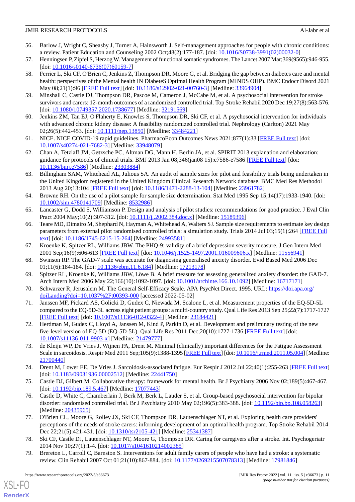- <span id="page-10-0"></span>56. Barlow J, Wright C, Sheasby J, Turner A, Hainsworth J. Self-management approaches for people with chronic conditions: a review. Patient Education and Counseling 2002 Oct;48(2):177-187. [doi: [10.1016/S0738-3991\(02\)00032-0\]](http://dx.doi.org/10.1016/S0738-3991(02)00032-0)
- <span id="page-10-2"></span><span id="page-10-1"></span>57. Henningsen P, Zipfel S, Herzog W. Management of functional somatic syndromes. The Lancet 2007 Mar;369(9565):946-955. [doi: [10.1016/s0140-6736\(07\)60159-7](http://dx.doi.org/10.1016/s0140-6736(07)60159-7)]
- 58. Ferrier L, Ski CF, O'Brien C, Jenkins Z, Thompson DR, Moore G, et al. Bridging the gap between diabetes care and mental health: perspectives of the Mental health IN DiabeteS Optimal Health Program (MINDS OHP). BMC Endocr Disord 2021 May 08;21(1):96 [\[FREE Full text\]](https://bmcendocrdisord.biomedcentral.com/articles/10.1186/s12902-021-00760-3) [doi: [10.1186/s12902-021-00760-3](http://dx.doi.org/10.1186/s12902-021-00760-3)] [Medline: [33964904\]](http://www.ncbi.nlm.nih.gov/entrez/query.fcgi?cmd=Retrieve&db=PubMed&list_uids=33964904&dopt=Abstract)
- <span id="page-10-4"></span><span id="page-10-3"></span>59. Minshall C, Castle DJ, Thompson DR, Pascoe M, Cameron J, McCabe M, et al. A psychosocial intervention for stroke survivors and carers: 12-month outcomes of a randomized controlled trial. Top Stroke Rehabil 2020 Dec 19;27(8):563-576. [doi: [10.1080/10749357.2020.1738677](http://dx.doi.org/10.1080/10749357.2020.1738677)] [Medline: [32191569\]](http://www.ncbi.nlm.nih.gov/entrez/query.fcgi?cmd=Retrieve&db=PubMed&list_uids=32191569&dopt=Abstract)
- <span id="page-10-5"></span>60. Jenkins ZM, Tan EJ, O'Flaherty E, Knowles S, Thompson DR, Ski CF, et al. A psychosocial intervention for individuals with advanced chronic kidney disease: A feasibility randomized controlled trial. Nephrology (Carlton) 2021 May 02;26(5):442-453. [doi: [10.1111/nep.13850\]](http://dx.doi.org/10.1111/nep.13850) [Medline: [33484221](http://www.ncbi.nlm.nih.gov/entrez/query.fcgi?cmd=Retrieve&db=PubMed&list_uids=33484221&dopt=Abstract)]
- <span id="page-10-6"></span>61. NICE. NICE COVID-19 rapid guidelines. PharmacoEcon Outcomes News 2021;877(1):33 [[FREE Full text](http://europepmc.org/abstract/MED/33948079)] [doi: [10.1007/s40274-021-7682-3\]](http://dx.doi.org/10.1007/s40274-021-7682-3) [Medline: [33948079](http://www.ncbi.nlm.nih.gov/entrez/query.fcgi?cmd=Retrieve&db=PubMed&list_uids=33948079&dopt=Abstract)]
- <span id="page-10-7"></span>62. Chan A, Tetzlaff JM, Gøtzsche PC, Altman DG, Mann H, Berlin JA, et al. SPIRIT 2013 explanation and elaboration: guidance for protocols of clinical trials. BMJ 2013 Jan 08;346(jan08 15):e7586-e7586 [\[FREE Full text\]](http://www.bmj.com/lookup/pmidlookup?view=long&pmid=23303884) [doi: [10.1136/bmj.e7586](http://dx.doi.org/10.1136/bmj.e7586)] [Medline: [23303884](http://www.ncbi.nlm.nih.gov/entrez/query.fcgi?cmd=Retrieve&db=PubMed&list_uids=23303884&dopt=Abstract)]
- 63. Billingham SAM, Whitehead AL, Julious SA. An audit of sample sizes for pilot and feasibility trials being undertaken in the United Kingdom registered in the United Kingdom Clinical Research Network database. BMC Med Res Methodol 2013 Aug 20;13:104 [\[FREE Full text\]](https://bmcmedresmethodol.biomedcentral.com/articles/10.1186/1471-2288-13-104) [doi: [10.1186/1471-2288-13-104](http://dx.doi.org/10.1186/1471-2288-13-104)] [Medline: [23961782\]](http://www.ncbi.nlm.nih.gov/entrez/query.fcgi?cmd=Retrieve&db=PubMed&list_uids=23961782&dopt=Abstract)
- <span id="page-10-8"></span>64. Browne RH. On the use of a pilot sample for sample size determination. Stat Med 1995 Sep 15;14(17):1933-1940. [doi: [10.1002/sim.4780141709\]](http://dx.doi.org/10.1002/sim.4780141709) [Medline: [8532986\]](http://www.ncbi.nlm.nih.gov/entrez/query.fcgi?cmd=Retrieve&db=PubMed&list_uids=8532986&dopt=Abstract)
- 65. Lancaster G, Dodd S, Williamson P. Design and analysis of pilot studies: recommendations for good practice. J Eval Clin Pract 2004 May;10(2):307-312. [doi: [10.1111/j..2002.384.doc.x](http://dx.doi.org/10.1111/j..2002.384.doc.x)] [Medline: [15189396](http://www.ncbi.nlm.nih.gov/entrez/query.fcgi?cmd=Retrieve&db=PubMed&list_uids=15189396&dopt=Abstract)]
- <span id="page-10-10"></span><span id="page-10-9"></span>66. Teare MD, Dimairo M, Shephard N, Hayman A, Whitehead A, Walters SJ. Sample size requirements to estimate key design parameters from external pilot randomised controlled trials: a simulation study. Trials 2014 Jul 03;15(1):264 [[FREE Full](https://trialsjournal.biomedcentral.com/articles/10.1186/1745-6215-15-264) [text](https://trialsjournal.biomedcentral.com/articles/10.1186/1745-6215-15-264)] [doi: [10.1186/1745-6215-15-264\]](http://dx.doi.org/10.1186/1745-6215-15-264) [Medline: [24993581\]](http://www.ncbi.nlm.nih.gov/entrez/query.fcgi?cmd=Retrieve&db=PubMed&list_uids=24993581&dopt=Abstract)
- <span id="page-10-11"></span>67. Kroenke K, Spitzer RL, Williams JBW. The PHQ-9: validity of a brief depression severity measure. J Gen Intern Med 2001 Sep;16(9):606-613 [\[FREE Full text\]](https://onlinelibrary.wiley.com/resolve/openurl?genre=article&sid=nlm:pubmed&issn=0884-8734&date=2001&volume=16&issue=9&spage=606) [doi: [10.1046/j.1525-1497.2001.016009606.x](http://dx.doi.org/10.1046/j.1525-1497.2001.016009606.x)] [Medline: [11556941](http://www.ncbi.nlm.nih.gov/entrez/query.fcgi?cmd=Retrieve&db=PubMed&list_uids=11556941&dopt=Abstract)]
- <span id="page-10-12"></span>68. Swinson RP. The GAD-7 scale was accurate for diagnosing generalised anxiety disorder. Evid Based Med 2006 Dec 01;11(6):184-184. [doi: [10.1136/ebm.11.6.184\]](http://dx.doi.org/10.1136/ebm.11.6.184) [Medline: [17213178](http://www.ncbi.nlm.nih.gov/entrez/query.fcgi?cmd=Retrieve&db=PubMed&list_uids=17213178&dopt=Abstract)]
- <span id="page-10-13"></span>69. Spitzer RL, Kroenke K, Williams JBW, Löwe B. A brief measure for assessing generalized anxiety disorder: the GAD-7. Arch Intern Med 2006 May 22;166(10):1092-1097. [doi: [10.1001/archinte.166.10.1092](http://dx.doi.org/10.1001/archinte.166.10.1092)] [Medline: [16717171](http://www.ncbi.nlm.nih.gov/entrez/query.fcgi?cmd=Retrieve&db=PubMed&list_uids=16717171&dopt=Abstract)]
- <span id="page-10-14"></span>70. Schwarzer R, Jerusalem M. The General Self-Efficacy Scale. APA PsycNet Direct. 1995. URL: [https://doi.apa.org/](https://doi.apa.org/doiLanding?doi=10.1037%2Ft00393-000) [doiLanding?doi=10.1037%2Ft00393-000](https://doi.apa.org/doiLanding?doi=10.1037%2Ft00393-000) [accessed 2022-05-02]
- <span id="page-10-15"></span>71. Janssen MF, Pickard AS, Golicki D, Gudex C, Niewada M, Scalone L, et al. Measurement properties of the EQ-5D-5L compared to the EQ-5D-3L across eight patient groups: a multi-country study. Qual Life Res 2013 Sep 25;22(7):1717-1727 [[FREE Full text](http://europepmc.org/abstract/MED/23184421)] [doi: [10.1007/s11136-012-0322-4\]](http://dx.doi.org/10.1007/s11136-012-0322-4) [Medline: [23184421](http://www.ncbi.nlm.nih.gov/entrez/query.fcgi?cmd=Retrieve&db=PubMed&list_uids=23184421&dopt=Abstract)]
- <span id="page-10-16"></span>72. Herdman M, Gudex C, Lloyd A, Janssen M, Kind P, Parkin D, et al. Development and preliminary testing of the new five-level version of EQ-5D (EQ-5D-5L). Qual Life Res 2011 Dec;20(10):1727-1736 [[FREE Full text](http://europepmc.org/abstract/MED/21479777)] [doi: [10.1007/s11136-011-9903-x\]](http://dx.doi.org/10.1007/s11136-011-9903-x) [Medline: [21479777](http://www.ncbi.nlm.nih.gov/entrez/query.fcgi?cmd=Retrieve&db=PubMed&list_uids=21479777&dopt=Abstract)]
- <span id="page-10-17"></span>73. de Kleijn WP, De Vries J, Wijnen PA, Drent M. Minimal (clinically) important differences for the Fatigue Assessment Scale in sarcoidosis. Respir Med 2011 Sep;105(9):1388-1395 [[FREE Full text\]](https://linkinghub.elsevier.com/retrieve/pii/S0954-6111(11)00167-3) [doi: [10.1016/j.rmed.2011.05.004\]](http://dx.doi.org/10.1016/j.rmed.2011.05.004) [Medline: [21700440](http://www.ncbi.nlm.nih.gov/entrez/query.fcgi?cmd=Retrieve&db=PubMed&list_uids=21700440&dopt=Abstract)]
- 74. Drent M, Lower EE, De Vries J. Sarcoidosis-associated fatigue. Eur Respir J 2012 Jul 22;40(1):255-263 [\[FREE Full text](http://erj.ersjournals.com/cgi/pmidlookup?view=long&pmid=22441750)] [doi: [10.1183/09031936.00002512\]](http://dx.doi.org/10.1183/09031936.00002512) [Medline: [22441750\]](http://www.ncbi.nlm.nih.gov/entrez/query.fcgi?cmd=Retrieve&db=PubMed&list_uids=22441750&dopt=Abstract)
- <span id="page-10-19"></span>75. Castle DJ, Gilbert M. Collaborative therapy: framework for mental health. Br J Psychiatry 2006 Nov 02;189(5):467-467. [doi: [10.1192/bjp.189.5.467](http://dx.doi.org/10.1192/bjp.189.5.467)] [Medline: [17077443](http://www.ncbi.nlm.nih.gov/entrez/query.fcgi?cmd=Retrieve&db=PubMed&list_uids=17077443&dopt=Abstract)]
- <span id="page-10-18"></span>76. Castle D, White C, Chamberlain J, Berk M, Berk L, Lauder S, et al. Group-based psychosocial intervention for bipolar disorder: randomised controlled trial. Br J Psychiatry 2010 May 02;196(5):383-388. [doi: [10.1192/bjp.bp.108.058263](http://dx.doi.org/10.1192/bjp.bp.108.058263)] [Medline: [20435965](http://www.ncbi.nlm.nih.gov/entrez/query.fcgi?cmd=Retrieve&db=PubMed&list_uids=20435965&dopt=Abstract)]
- 77. O'Brien CL, Moore G, Rolley JX, Ski CF, Thompson DR, Lautenschlager NT, et al. Exploring health care providers' perceptions of the needs of stroke carers: informing development of an optimal health program. Top Stroke Rehabil 2014 Dec 22;21(5):421-431. [doi: [10.1310/tsr2105-421\]](http://dx.doi.org/10.1310/tsr2105-421) [Medline: [25341387](http://www.ncbi.nlm.nih.gov/entrez/query.fcgi?cmd=Retrieve&db=PubMed&list_uids=25341387&dopt=Abstract)]
- 78. Ski CF, Castle DJ, Lautenschlager NT, Moore G, Thompson DR. Caring for caregivers after a stroke. Int. Psychogeriatr 2014 Nov 10;27(1):1-4. [doi: [10.1017/s1041610214002385\]](http://dx.doi.org/10.1017/s1041610214002385)
- 79. Brereton L, Carroll C, Barnston S. Interventions for adult family carers of people who have had a stroke: a systematic review. Clin Rehabil 2007 Oct 01;21(10):867-884. [doi: [10.1177/0269215507078313\]](http://dx.doi.org/10.1177/0269215507078313) [Medline: [17981846](http://www.ncbi.nlm.nih.gov/entrez/query.fcgi?cmd=Retrieve&db=PubMed&list_uids=17981846&dopt=Abstract)]